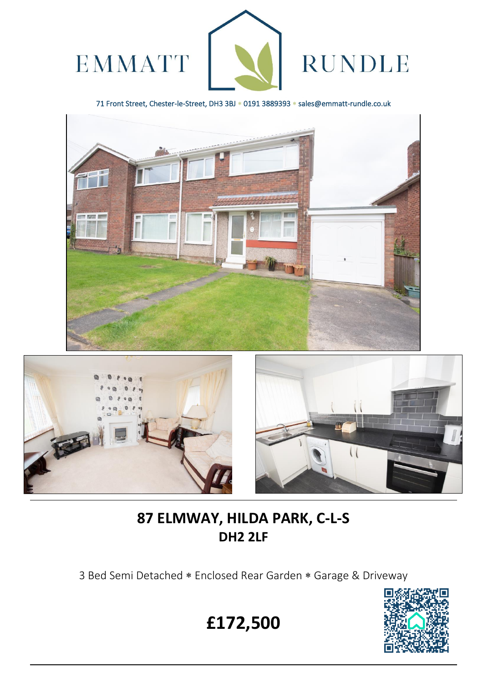

71 Front Street, Chester-le-Street, DH3 3BJ \* 0191 3889393 \* sales@emmatt-rundle.co.uk





 $\overline{a}$ 



# **87 ELMWAY, HILDA PARK, C-L-S DH2 2LF**

3 Bed Semi Detached \* Enclosed Rear Garden \* Garage & Driveway



**£172,500**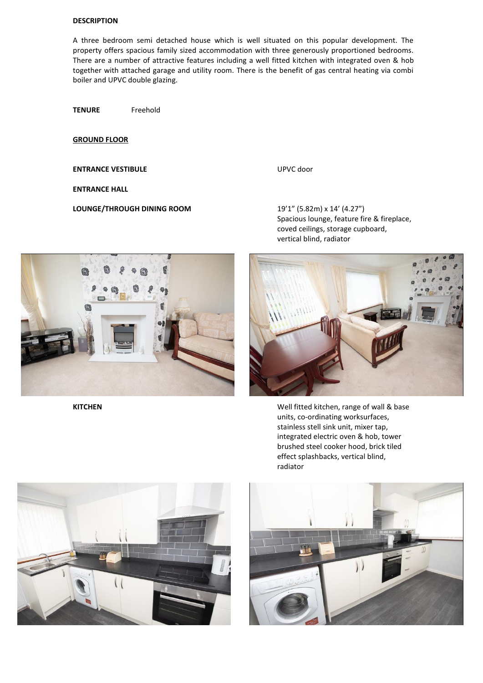### **DESCRIPTION**

A three bedroom semi detached house which is well situated on this popular development. The property offers spacious family sized accommodation with three generously proportioned bedrooms. There are a number of attractive features including a well fitted kitchen with integrated oven & hob together with attached garage and utility room. There is the benefit of gas central heating via combi boiler and UPVC double glazing.

**TENURE** Freehold

**GROUND FLOOR** 

**ENTRANCE VESTIBULE** UPVC door

**ENTRANCE HALL**

**LOUNGE/THROUGH DINING ROOM** 19'1" (5.82m) x 14' (4.27")

Spacious lounge, feature fire & fireplace, coved ceilings, storage cupboard, vertical blind, radiator





**KITCHEN KITCHEN KITCHEN KITCHEN KITCHEN** units, co-ordinating worksurfaces, stainless stell sink unit, mixer tap, integrated electric oven & hob, tower brushed steel cooker hood, brick tiled effect splashbacks, vertical blind, radiator



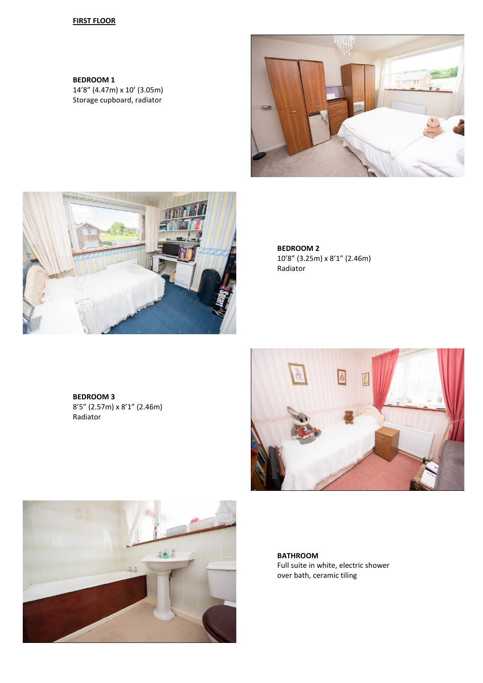## **FIRST FLOOR**

**BEDROOM 1** 14'8" (4.47m) x 10' (3.05m) Storage cupboard, radiator





**BEDROOM 2** 10'8" (3.25m) x 8'1" (2.46m) Radiator

**BEDROOM 3** 8'5" (2.57m) x 8'1" (2.46m) Radiator





**BATHROOM** Full suite in white, electric shower over bath, ceramic tiling